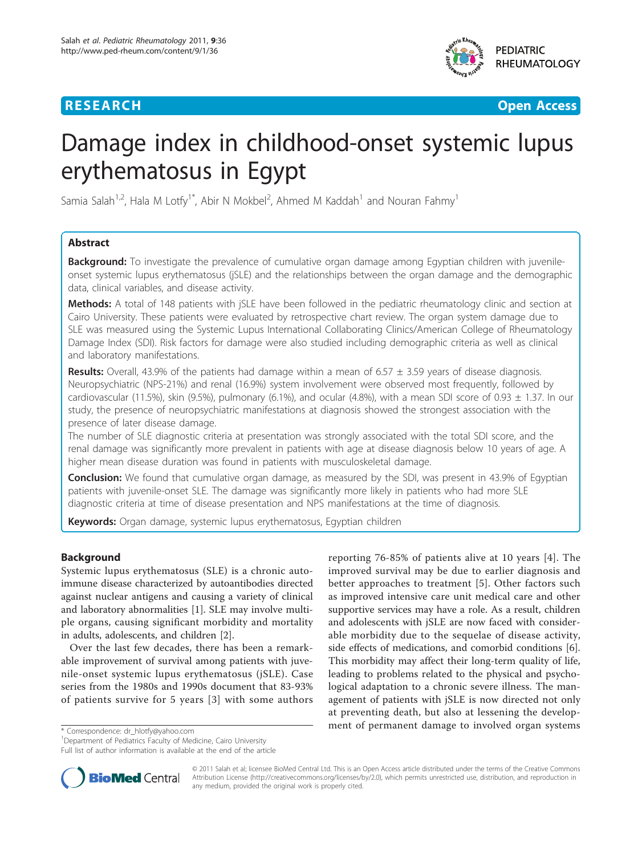

**RESEARCH CONTROL** CONTROL CONTROL CONTROL CONTROL CONTROL CONTROL CONTROL CONTROL CONTROL CONTROL CONTROL CONTROL

# Damage index in childhood-onset systemic lupus erythematosus in Egypt

Samia Salah<sup>1,2</sup>, Hala M Lotfy<sup>1\*</sup>, Abir N Mokbel<sup>2</sup>, Ahmed M Kaddah<sup>1</sup> and Nouran Fahmy<sup>1</sup>

# Abstract

Background: To investigate the prevalence of cumulative organ damage among Egyptian children with juvenileonset systemic lupus erythematosus (jSLE) and the relationships between the organ damage and the demographic data, clinical variables, and disease activity.

Methods: A total of 148 patients with jSLE have been followed in the pediatric rheumatology clinic and section at Cairo University. These patients were evaluated by retrospective chart review. The organ system damage due to SLE was measured using the Systemic Lupus International Collaborating Clinics/American College of Rheumatology Damage Index (SDI). Risk factors for damage were also studied including demographic criteria as well as clinical and laboratory manifestations.

**Results:** Overall, 43.9% of the patients had damage within a mean of 6.57  $\pm$  3.59 years of disease diagnosis. Neuropsychiatric (NPS-21%) and renal (16.9%) system involvement were observed most frequently, followed by cardiovascular (11.5%), skin (9.5%), pulmonary (6.1%), and ocular (4.8%), with a mean SDI score of 0.93  $\pm$  1.37. In our study, the presence of neuropsychiatric manifestations at diagnosis showed the strongest association with the presence of later disease damage.

The number of SLE diagnostic criteria at presentation was strongly associated with the total SDI score, and the renal damage was significantly more prevalent in patients with age at disease diagnosis below 10 years of age. A higher mean disease duration was found in patients with musculoskeletal damage.

Conclusion: We found that cumulative organ damage, as measured by the SDI, was present in 43.9% of Egyptian patients with juvenile-onset SLE. The damage was significantly more likely in patients who had more SLE diagnostic criteria at time of disease presentation and NPS manifestations at the time of diagnosis.

Keywords: Organ damage, systemic lupus erythematosus, Egyptian children

# Background

Systemic lupus erythematosus (SLE) is a chronic autoimmune disease characterized by autoantibodies directed against nuclear antigens and causing a variety of clinical and laboratory abnormalities [[1\]](#page-6-0). SLE may involve multiple organs, causing significant morbidity and mortality in adults, adolescents, and children [\[2](#page-6-0)].

Over the last few decades, there has been a remarkable improvement of survival among patients with juvenile-onset systemic lupus erythematosus (jSLE). Case series from the 1980s and 1990s document that 83-93% of patients survive for 5 years [[3\]](#page-6-0) with some authors

reporting 76-85% of patients alive at 10 years [[4\]](#page-6-0). The improved survival may be due to earlier diagnosis and better approaches to treatment [[5\]](#page-6-0). Other factors such as improved intensive care unit medical care and other supportive services may have a role. As a result, children and adolescents with jSLE are now faced with considerable morbidity due to the sequelae of disease activity, side effects of medications, and comorbid conditions [\[6](#page-6-0)]. This morbidity may affect their long-term quality of life, leading to problems related to the physical and psychological adaptation to a chronic severe illness. The management of patients with jSLE is now directed not only at preventing death, but also at lessening the development of permanent damage to involved organ systems \* Correspondence: [dr\\_hlotfy@yahoo.com](mailto:dr_hlotfy@yahoo.com)

<sup>1</sup>Department of Pediatrics Faculty of Medicine, Cairo University Full list of author information is available at the end of the article



© 2011 Salah et al; licensee BioMed Central Ltd. This is an Open Access article distributed under the terms of the Creative Commons Attribution License [\(http://creativecommons.org/licenses/by/2.0](http://creativecommons.org/licenses/by/2.0)), which permits unrestricted use, distribution, and reproduction in any medium, provided the original work is properly cited.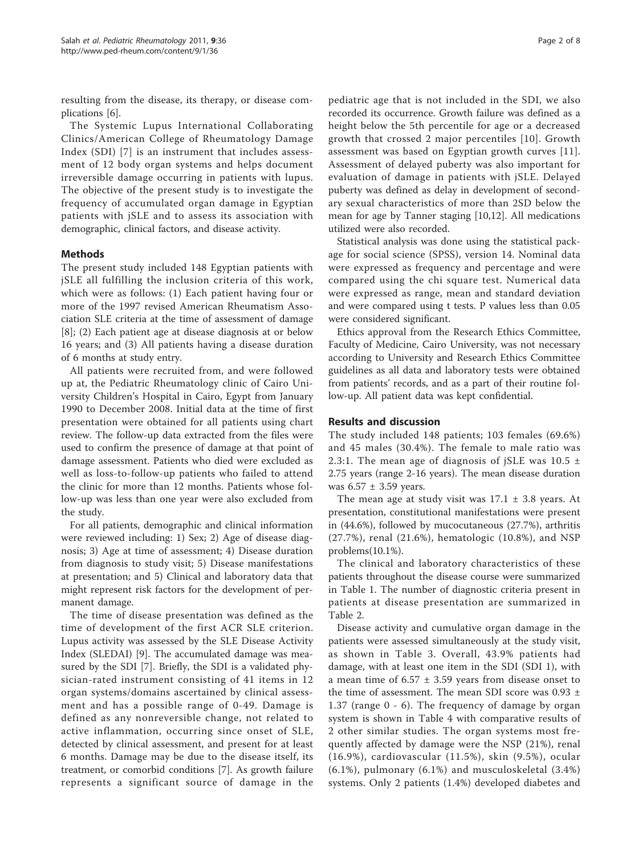resulting from the disease, its therapy, or disease complications [\[6\]](#page-6-0).

The Systemic Lupus International Collaborating Clinics/American College of Rheumatology Damage Index (SDI) [[7\]](#page-6-0) is an instrument that includes assessment of 12 body organ systems and helps document irreversible damage occurring in patients with lupus. The objective of the present study is to investigate the frequency of accumulated organ damage in Egyptian patients with jSLE and to assess its association with demographic, clinical factors, and disease activity.

# Methods

The present study included 148 Egyptian patients with jSLE all fulfilling the inclusion criteria of this work, which were as follows: (1) Each patient having four or more of the 1997 revised American Rheumatism Association SLE criteria at the time of assessment of damage [[8\]](#page-6-0); (2) Each patient age at disease diagnosis at or below 16 years; and (3) All patients having a disease duration of 6 months at study entry.

All patients were recruited from, and were followed up at, the Pediatric Rheumatology clinic of Cairo University Children's Hospital in Cairo, Egypt from January 1990 to December 2008. Initial data at the time of first presentation were obtained for all patients using chart review. The follow-up data extracted from the files were used to confirm the presence of damage at that point of damage assessment. Patients who died were excluded as well as loss-to-follow-up patients who failed to attend the clinic for more than 12 months. Patients whose follow-up was less than one year were also excluded from the study.

For all patients, demographic and clinical information were reviewed including: 1) Sex; 2) Age of disease diagnosis; 3) Age at time of assessment; 4) Disease duration from diagnosis to study visit; 5) Disease manifestations at presentation; and 5) Clinical and laboratory data that might represent risk factors for the development of permanent damage.

The time of disease presentation was defined as the time of development of the first ACR SLE criterion. Lupus activity was assessed by the SLE Disease Activity Index (SLEDAI) [\[9](#page-6-0)]. The accumulated damage was measured by the SDI [[7\]](#page-6-0). Briefly, the SDI is a validated physician-rated instrument consisting of 41 items in 12 organ systems/domains ascertained by clinical assessment and has a possible range of 0-49. Damage is defined as any nonreversible change, not related to active inflammation, occurring since onset of SLE, detected by clinical assessment, and present for at least 6 months. Damage may be due to the disease itself, its treatment, or comorbid conditions [\[7](#page-6-0)]. As growth failure represents a significant source of damage in the

pediatric age that is not included in the SDI, we also recorded its occurrence. Growth failure was defined as a height below the 5th percentile for age or a decreased growth that crossed 2 major percentiles [[10\]](#page-6-0). Growth assessment was based on Egyptian growth curves [[11](#page-6-0)]. Assessment of delayed puberty was also important for evaluation of damage in patients with jSLE. Delayed puberty was defined as delay in development of secondary sexual characteristics of more than 2SD below the mean for age by Tanner staging [[10](#page-6-0),[12](#page-6-0)]. All medications utilized were also recorded.

Statistical analysis was done using the statistical package for social science (SPSS), version 14. Nominal data were expressed as frequency and percentage and were compared using the chi square test. Numerical data were expressed as range, mean and standard deviation and were compared using t tests. P values less than 0.05 were considered significant.

Ethics approval from the Research Ethics Committee, Faculty of Medicine, Cairo University, was not necessary according to University and Research Ethics Committee guidelines as all data and laboratory tests were obtained from patients' records, and as a part of their routine follow-up. All patient data was kept confidential.

### Results and discussion

The study included 148 patients; 103 females (69.6%) and 45 males (30.4%). The female to male ratio was 2.3:1. The mean age of diagnosis of jSLE was  $10.5 \pm$ 2.75 years (range 2-16 years). The mean disease duration was  $6.57 \pm 3.59$  years.

The mean age at study visit was  $17.1 \pm 3.8$  years. At presentation, constitutional manifestations were present in (44.6%), followed by mucocutaneous (27.7%), arthritis (27.7%), renal (21.6%), hematologic (10.8%), and NSP problems(10.1%).

The clinical and laboratory characteristics of these patients throughout the disease course were summarized in Table [1.](#page-2-0) The number of diagnostic criteria present in patients at disease presentation are summarized in Table [2.](#page-2-0)

Disease activity and cumulative organ damage in the patients were assessed simultaneously at the study visit, as shown in Table [3](#page-2-0). Overall, 43.9% patients had damage, with at least one item in the SDI (SDI 1), with a mean time of  $6.57 \pm 3.59$  years from disease onset to the time of assessment. The mean SDI score was  $0.93 \pm$ 1.37 (range 0 - 6). The frequency of damage by organ system is shown in Table [4](#page-3-0) with comparative results of 2 other similar studies. The organ systems most frequently affected by damage were the NSP (21%), renal (16.9%), cardiovascular (11.5%), skin (9.5%), ocular (6.1%), pulmonary (6.1%) and musculoskeletal (3.4%) systems. Only 2 patients (1.4%) developed diabetes and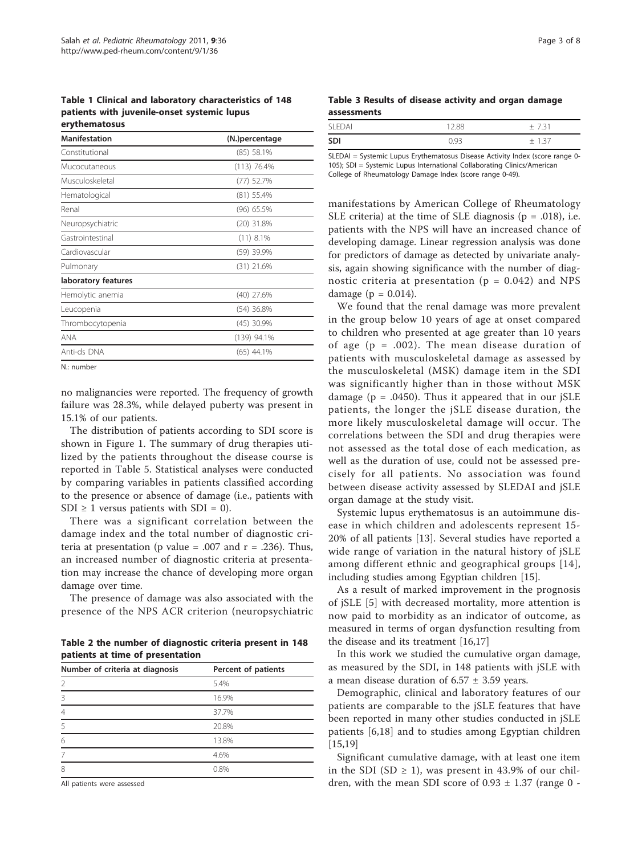<span id="page-2-0"></span>Table 1 Clinical and laboratory characteristics of 148 patients with juvenile-onset systemic lupus erythematosus

| <b>Manifestation</b> | (N.) percentage |
|----------------------|-----------------|
| Constitutional       | $(85)$ 58.1%    |
| Mucocutaneous        | $(113)$ 76.4%   |
| Musculoskeletal      | (77) 52.7%      |
| Hematological        | $(81)$ 55.4%    |
| Renal                | $(96)$ 65.5%    |
| Neuropsychiatric     | $(20)$ 31.8%    |
| Gastrointestinal     | $(11)$ 8.1%     |
| Cardiovascular       | (59) 39.9%      |
| Pulmonary            | $(31)$ 21.6%    |
| laboratory features  |                 |
| Hemolytic anemia     | (40) 27.6%      |
| Leucopenia           | $(54)$ 36.8%    |
| Thrombocytopenia     | $(45)$ 30.9%    |
| ANA                  | (139) 94.1%     |
| Anti-ds DNA          | $(65)$ 44.1%    |
|                      |                 |

N.: number

no malignancies were reported. The frequency of growth failure was 28.3%, while delayed puberty was present in 15.1% of our patients.

The distribution of patients according to SDI score is shown in Figure [1](#page-4-0). The summary of drug therapies utilized by the patients throughout the disease course is reported in Table [5.](#page-5-0) Statistical analyses were conducted by comparing variables in patients classified according to the presence or absence of damage (i.e., patients with SDI  $\geq$  1 versus patients with SDI = 0).

There was a significant correlation between the damage index and the total number of diagnostic criteria at presentation (p value = .007 and  $r = .236$ ). Thus, an increased number of diagnostic criteria at presentation may increase the chance of developing more organ damage over time.

The presence of damage was also associated with the presence of the NPS ACR criterion (neuropsychiatric

Table 2 the number of diagnostic criteria present in 148 patients at time of presentation

| Number of criteria at diagnosis | Percent of patients |
|---------------------------------|---------------------|
|                                 | 5.4%                |
| ζ                               | 16.9%               |
| 4                               | 37.7%               |
| 5                               | 20.8%               |
| 6                               | 13.8%               |
|                                 | 4.6%                |
| 8                               | 0.8%                |
|                                 |                     |

All patients were assessed

|             |  |  |  | Table 3 Results of disease activity and organ damage |
|-------------|--|--|--|------------------------------------------------------|
| assessments |  |  |  |                                                      |

| $F\cap \Delta$ |      | $\overline{\phantom{0}}$ |
|----------------|------|--------------------------|
| SD.            | n a≍ | $\overline{\phantom{0}}$ |

SLEDAI = Systemic Lupus Erythematosus Disease Activity Index (score range 0- 105); SDI = Systemic Lupus International Collaborating Clinics/American College of Rheumatology Damage Index (score range 0-49).

manifestations by American College of Rheumatology SLE criteria) at the time of SLE diagnosis ( $p = .018$ ), i.e. patients with the NPS will have an increased chance of developing damage. Linear regression analysis was done for predictors of damage as detected by univariate analysis, again showing significance with the number of diagnostic criteria at presentation ( $p = 0.042$ ) and NPS damage ( $p = 0.014$ ).

We found that the renal damage was more prevalent in the group below 10 years of age at onset compared to children who presented at age greater than 10 years of age  $(p = .002)$ . The mean disease duration of patients with musculoskeletal damage as assessed by the musculoskeletal (MSK) damage item in the SDI was significantly higher than in those without MSK damage ( $p = .0450$ ). Thus it appeared that in our jSLE patients, the longer the jSLE disease duration, the more likely musculoskeletal damage will occur. The correlations between the SDI and drug therapies were not assessed as the total dose of each medication, as well as the duration of use, could not be assessed precisely for all patients. No association was found between disease activity assessed by SLEDAI and jSLE organ damage at the study visit.

Systemic lupus erythematosus is an autoimmune disease in which children and adolescents represent 15- 20% of all patients [[13](#page-6-0)]. Several studies have reported a wide range of variation in the natural history of jSLE among different ethnic and geographical groups [[14\]](#page-6-0), including studies among Egyptian children [\[15](#page-6-0)].

As a result of marked improvement in the prognosis of jSLE [\[5](#page-6-0)] with decreased mortality, more attention is now paid to morbidity as an indicator of outcome, as measured in terms of organ dysfunction resulting from the disease and its treatment [[16,17](#page-6-0)]

In this work we studied the cumulative organ damage, as measured by the SDI, in 148 patients with jSLE with a mean disease duration of  $6.57 \pm 3.59$  years.

Demographic, clinical and laboratory features of our patients are comparable to the jSLE features that have been reported in many other studies conducted in jSLE patients [[6,18](#page-6-0)] and to studies among Egyptian children [[15,19\]](#page-6-0)

Significant cumulative damage, with at least one item in the SDI (SD  $\geq$  1), was present in 43.9% of our children, with the mean SDI score of  $0.93 \pm 1.37$  (range 0 -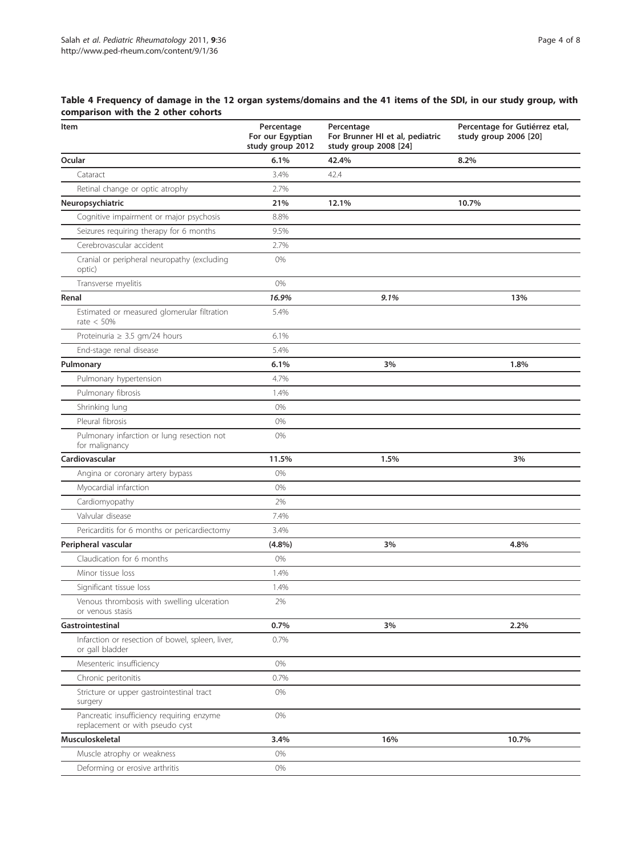# <span id="page-3-0"></span>Table 4 Frequency of damage in the 12 organ systems/domains and the 41 items of the SDI, in our study group, with comparison with the 2 other cohorts

| Item                                                                         | Percentage<br>For our Egyptian<br>study group 2012 | Percentage<br>For Brunner HI et al, pediatric<br>study group 2008 [24] | Percentage for Gutiérrez etal,<br>study group 2006 [20] |
|------------------------------------------------------------------------------|----------------------------------------------------|------------------------------------------------------------------------|---------------------------------------------------------|
| Ocular                                                                       | 6.1%                                               | 42.4%                                                                  | 8.2%                                                    |
| Cataract                                                                     | 3.4%                                               | 42.4                                                                   |                                                         |
| Retinal change or optic atrophy                                              | 2.7%                                               |                                                                        |                                                         |
| Neuropsychiatric                                                             | 21%                                                | 12.1%                                                                  | 10.7%                                                   |
| Cognitive impairment or major psychosis                                      | 8.8%                                               |                                                                        |                                                         |
| Seizures requiring therapy for 6 months                                      | 9.5%                                               |                                                                        |                                                         |
| Cerebrovascular accident                                                     | 2.7%                                               |                                                                        |                                                         |
| Cranial or peripheral neuropathy (excluding<br>optic)                        | 0%                                                 |                                                                        |                                                         |
| Transverse myelitis                                                          | 0%                                                 |                                                                        |                                                         |
| Renal                                                                        | 16.9%                                              | 9.1%                                                                   | 13%                                                     |
| Estimated or measured glomerular filtration<br>rate $< 50%$                  | 5.4%                                               |                                                                        |                                                         |
| Proteinuria $\geq 3.5$ gm/24 hours                                           | 6.1%                                               |                                                                        |                                                         |
| End-stage renal disease                                                      | 5.4%                                               |                                                                        |                                                         |
| Pulmonary                                                                    | 6.1%                                               | 3%                                                                     | 1.8%                                                    |
| Pulmonary hypertension                                                       | 4.7%                                               |                                                                        |                                                         |
| Pulmonary fibrosis                                                           | 1.4%                                               |                                                                        |                                                         |
| Shrinking lung                                                               | 0%                                                 |                                                                        |                                                         |
| Pleural fibrosis                                                             | 0%                                                 |                                                                        |                                                         |
| Pulmonary infarction or lung resection not<br>for malignancy                 | 0%                                                 |                                                                        |                                                         |
| Cardiovascular                                                               | 11.5%                                              | 1.5%                                                                   | 3%                                                      |
| Angina or coronary artery bypass                                             | 0%                                                 |                                                                        |                                                         |
| Myocardial infarction                                                        | 0%                                                 |                                                                        |                                                         |
| Cardiomyopathy                                                               | 2%                                                 |                                                                        |                                                         |
| Valvular disease                                                             | 7.4%                                               |                                                                        |                                                         |
| Pericarditis for 6 months or pericardiectomy                                 | 3.4%                                               |                                                                        |                                                         |
| Peripheral vascular                                                          | (4.8%)                                             | 3%                                                                     | 4.8%                                                    |
| Claudication for 6 months                                                    | 0%                                                 |                                                                        |                                                         |
| Minor tissue loss                                                            | 1.4%                                               |                                                                        |                                                         |
| Significant tissue loss                                                      | 1.4%                                               |                                                                        |                                                         |
| Venous thrombosis with swelling ulceration<br>or venous stasis               | 2%                                                 |                                                                        |                                                         |
| Gastrointestinal                                                             | 0.7%                                               | 3%                                                                     | 2.2%                                                    |
| Infarction or resection of bowel, spleen, liver,<br>or gall bladder          | 0.7%                                               |                                                                        |                                                         |
| Mesenteric insufficiency                                                     | 0%                                                 |                                                                        |                                                         |
| Chronic peritonitis                                                          | 0.7%                                               |                                                                        |                                                         |
| Stricture or upper gastrointestinal tract<br>surgery                         | 0%                                                 |                                                                        |                                                         |
| Pancreatic insufficiency requiring enzyme<br>replacement or with pseudo cyst | 0%                                                 |                                                                        |                                                         |
| Musculoskeletal                                                              | 3.4%                                               | 16%                                                                    | 10.7%                                                   |
| Muscle atrophy or weakness                                                   | 0%                                                 |                                                                        |                                                         |
| Deforming or erosive arthritis                                               | 0%                                                 |                                                                        |                                                         |
|                                                                              |                                                    |                                                                        |                                                         |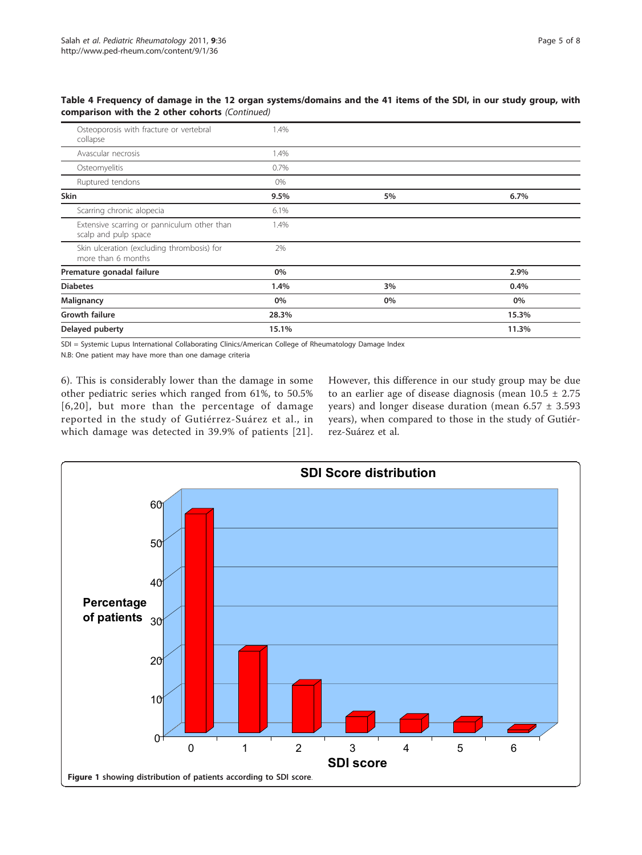<span id="page-4-0"></span>Table 4 Frequency of damage in the 12 organ systems/domains and the 41 items of the SDI, in our study group, with comparison with the 2 other cohorts (Continued)

| Osteoporosis with fracture or vertebral<br>collapse                 | 1.4%  |    |       |
|---------------------------------------------------------------------|-------|----|-------|
| Avascular necrosis                                                  | 1.4%  |    |       |
| Osteomyelitis                                                       | 0.7%  |    |       |
| Ruptured tendons                                                    | $0\%$ |    |       |
| Skin                                                                | 9.5%  | 5% | 6.7%  |
| Scarring chronic alopecia                                           | 6.1%  |    |       |
| Extensive scarring or panniculum other than<br>scalp and pulp space | 1.4%  |    |       |
| Skin ulceration (excluding thrombosis) for<br>more than 6 months    | 2%    |    |       |
| Premature gonadal failure                                           | 0%    |    | 2.9%  |
| <b>Diabetes</b>                                                     | 1.4%  | 3% | 0.4%  |
| Malignancy                                                          | 0%    | 0% | 0%    |
| <b>Growth failure</b>                                               | 28.3% |    | 15.3% |
| Delayed puberty                                                     | 15.1% |    | 11.3% |

SDI = Systemic Lupus International Collaborating Clinics/American College of Rheumatology Damage Index

N.B: One patient may have more than one damage criteria

6). This is considerably lower than the damage in some other pediatric series which ranged from 61%, to 50.5% [[6,20](#page-6-0)], but more than the percentage of damage reported in the study of Gutiérrez-Suárez et al., in which damage was detected in 39.9% of patients [[21\]](#page-6-0).

However, this difference in our study group may be due to an earlier age of disease diagnosis (mean  $10.5 \pm 2.75$ years) and longer disease duration (mean 6.57 ± 3.593 years), when compared to those in the study of Gutiérrez-Suárez et al.

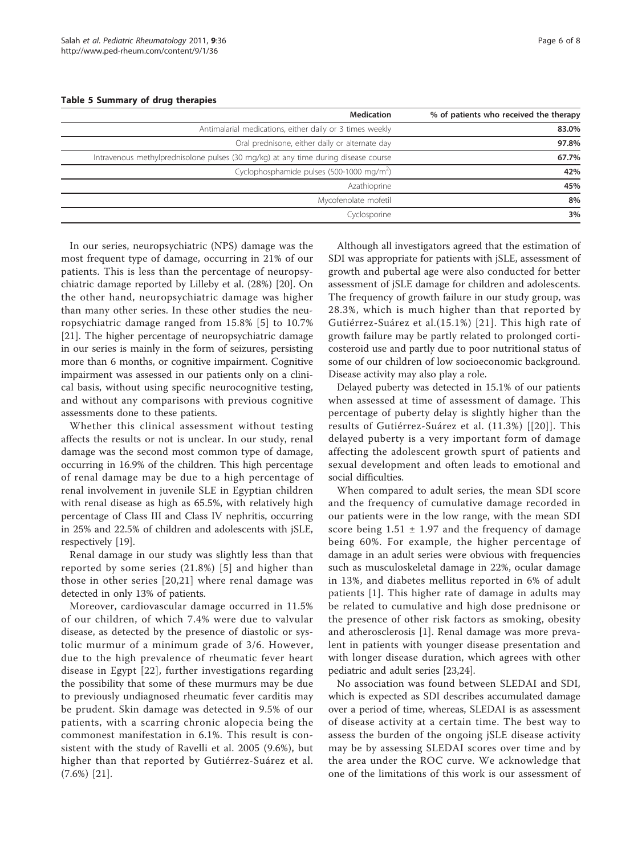<span id="page-5-0"></span>Table 5 Summary of drug therapies

| % of patients who received the therapy | <b>Medication</b>                                                                  |
|----------------------------------------|------------------------------------------------------------------------------------|
| 83.0%                                  | Antimalarial medications, either daily or 3 times weekly                           |
| 97.8%                                  | Oral prednisone, either daily or alternate day                                     |
| 67.7%                                  | Intravenous methylprednisolone pulses (30 mg/kg) at any time during disease course |
| 42%                                    | Cyclophosphamide pulses (500-1000 mg/m <sup>2</sup> )                              |
| 45%                                    | Azathioprine                                                                       |
| 8%                                     | Mycofenolate mofetil                                                               |
| 3%                                     | Cyclosporine                                                                       |
|                                        |                                                                                    |

In our series, neuropsychiatric (NPS) damage was the most frequent type of damage, occurring in 21% of our patients. This is less than the percentage of neuropsychiatric damage reported by Lilleby et al. (28%) [\[20\]](#page-6-0). On the other hand, neuropsychiatric damage was higher than many other series. In these other studies the neuropsychiatric damage ranged from 15.8% [\[5\]](#page-6-0) to 10.7% [[21\]](#page-6-0). The higher percentage of neuropsychiatric damage in our series is mainly in the form of seizures, persisting more than 6 months, or cognitive impairment. Cognitive impairment was assessed in our patients only on a clinical basis, without using specific neurocognitive testing, and without any comparisons with previous cognitive assessments done to these patients.

Whether this clinical assessment without testing affects the results or not is unclear. In our study, renal damage was the second most common type of damage, occurring in 16.9% of the children. This high percentage of renal damage may be due to a high percentage of renal involvement in juvenile SLE in Egyptian children with renal disease as high as 65.5%, with relatively high percentage of Class III and Class IV nephritis, occurring in 25% and 22.5% of children and adolescents with jSLE, respectively [\[19](#page-6-0)].

Renal damage in our study was slightly less than that reported by some series (21.8%) [[5](#page-6-0)] and higher than those in other series [\[20,21\]](#page-6-0) where renal damage was detected in only 13% of patients.

Moreover, cardiovascular damage occurred in 11.5% of our children, of which 7.4% were due to valvular disease, as detected by the presence of diastolic or systolic murmur of a minimum grade of 3/6. However, due to the high prevalence of rheumatic fever heart disease in Egypt [[22](#page-6-0)], further investigations regarding the possibility that some of these murmurs may be due to previously undiagnosed rheumatic fever carditis may be prudent. Skin damage was detected in 9.5% of our patients, with a scarring chronic alopecia being the commonest manifestation in 6.1%. This result is consistent with the study of Ravelli et al. 2005 (9.6%), but higher than that reported by Gutiérrez-Suárez et al. (7.6%) [[21\]](#page-6-0).

Although all investigators agreed that the estimation of SDI was appropriate for patients with jSLE, assessment of growth and pubertal age were also conducted for better assessment of jSLE damage for children and adolescents. The frequency of growth failure in our study group, was 28.3%, which is much higher than that reported by Gutiérrez-Suárez et al.(15.1%) [[21](#page-6-0)]. This high rate of growth failure may be partly related to prolonged corticosteroid use and partly due to poor nutritional status of some of our children of low socioeconomic background. Disease activity may also play a role.

Delayed puberty was detected in 15.1% of our patients when assessed at time of assessment of damage. This percentage of puberty delay is slightly higher than the results of Gutiérrez-Suárez et al. (11.3%) [[[20](#page-6-0)]]. This delayed puberty is a very important form of damage affecting the adolescent growth spurt of patients and sexual development and often leads to emotional and social difficulties.

When compared to adult series, the mean SDI score and the frequency of cumulative damage recorded in our patients were in the low range, with the mean SDI score being  $1.51 \pm 1.97$  and the frequency of damage being 60%. For example, the higher percentage of damage in an adult series were obvious with frequencies such as musculoskeletal damage in 22%, ocular damage in 13%, and diabetes mellitus reported in 6% of adult patients [[1](#page-6-0)]. This higher rate of damage in adults may be related to cumulative and high dose prednisone or the presence of other risk factors as smoking, obesity and atherosclerosis [[1](#page-6-0)]. Renal damage was more prevalent in patients with younger disease presentation and with longer disease duration, which agrees with other pediatric and adult series [\[23](#page-6-0)[,24\]](#page-7-0).

No association was found between SLEDAI and SDI, which is expected as SDI describes accumulated damage over a period of time, whereas, SLEDAI is as assessment of disease activity at a certain time. The best way to assess the burden of the ongoing jSLE disease activity may be by assessing SLEDAI scores over time and by the area under the ROC curve. We acknowledge that one of the limitations of this work is our assessment of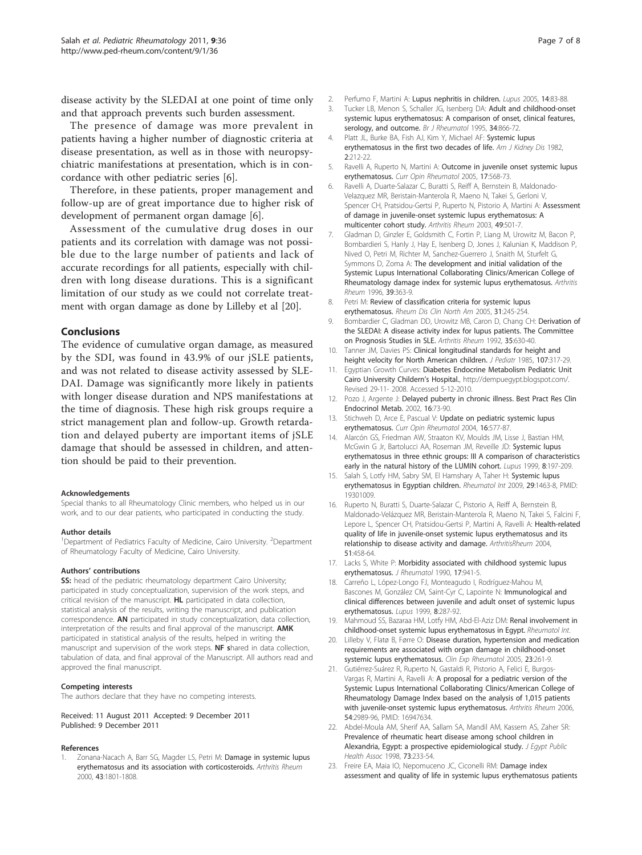<span id="page-6-0"></span>disease activity by the SLEDAI at one point of time only and that approach prevents such burden assessment.

The presence of damage was more prevalent in patients having a higher number of diagnostic criteria at disease presentation, as well as in those with neuropsychiatric manifestations at presentation, which is in concordance with other pediatric series [6].

Therefore, in these patients, proper management and follow-up are of great importance due to higher risk of development of permanent organ damage [6].

Assessment of the cumulative drug doses in our patients and its correlation with damage was not possible due to the large number of patients and lack of accurate recordings for all patients, especially with children with long disease durations. This is a significant limitation of our study as we could not correlate treatment with organ damage as done by Lilleby et al [20].

### **Conclusions**

The evidence of cumulative organ damage, as measured by the SDI, was found in 43.9% of our jSLE patients, and was not related to disease activity assessed by SLE-DAI. Damage was significantly more likely in patients with longer disease duration and NPS manifestations at the time of diagnosis. These high risk groups require a strict management plan and follow-up. Growth retardation and delayed puberty are important items of jSLE damage that should be assessed in children, and attention should be paid to their prevention.

#### Acknowledgements

Special thanks to all Rheumatology Clinic members, who helped us in our work, and to our dear patients, who participated in conducting the study.

#### Author details

<sup>1</sup>Department of Pediatrics Faculty of Medicine, Cairo University. <sup>2</sup>Department of Rheumatology Faculty of Medicine, Cairo University.

#### Authors' contributions

SS: head of the pediatric rheumatology department Cairo University; participated in study conceptualization, supervision of the work steps, and critical revision of the manuscript. HL participated in data collection, statistical analysis of the results, writing the manuscript, and publication correspondence. AN participated in study conceptualization, data collection, interpretation of the results and final approval of the manuscript. AMK participated in statistical analysis of the results, helped in writing the manuscript and supervision of the work steps. NF shared in data collection, tabulation of data, and final approval of the Manuscript. All authors read and approved the final manuscript.

#### Competing interests

The authors declare that they have no competing interests.

Received: 11 August 2011 Accepted: 9 December 2011 Published: 9 December 2011

#### References

Zonana-Nacach A, Barr SG, Magder LS, Petri M: Damage in systemic lupus erythematosus and its association with corticosteroids. Arthritis Rheum 2000, 43:1801-1808.

- 2. Perfumo F, Martini A: Lupus nephritis in children. Lupus 2005, 14:83-88.
- Tucker LB, Menon S, Schaller JG, Isenberg DA: Adult and childhood-onset systemic lupus erythematosus: A comparison of onset, clinical features, serology, and outcome. Br J Rheumatol 1995, 34:866-72.
- 4. Platt JL, Burke BA, Fish AJ, Kim Y, Michael AF: Systemic lupus erythematosus in the first two decades of life. Am J Kidney Dis 1982, 2:212-22.
- 5. Ravelli A, Ruperto N, Martini A: Outcome in juvenile onset systemic lupus erythematosus. Curr Opin Rheumatol 2005, 17:568-73.
- 6. Ravelli A, Duarte-Salazar C, Buratti S, Reiff A, Bernstein B, Maldonado-Velazquez MR, Beristain-Manterola R, Maeno N, Takei S, Gerloni V, Spencer CH, Pratsidou-Gertsi P, Ruperto N, Pistorio A, Martini A: Assessment of damage in juvenile-onset systemic lupus erythematosus: A multicenter cohort study. Arthritis Rheum 2003, 49:501-7.
- 7. Gladman D, Ginzler E, Goldsmith C, Fortin P, Liang M, Urowitz M, Bacon P, Bombardieri S, Hanly J, Hay E, Isenberg D, Jones J, Kalunian K, Maddison P, Nived O, Petri M, Richter M, Sanchez-Guerrero J, Snaith M, Sturfelt G, Symmons D, Zoma A: The development and initial validation of the Systemic Lupus International Collaborating Clinics/American College of Rheumatology damage index for systemic lupus erythematosus. Arthritis Rheum 1996, 39:363-9.
- 8. Petri M: Review of classification criteria for systemic lupus erythematosus. Rheum Dis Clin North Am 2005, 31:245-254.
- 9. Bombardier C, Gladman DD, Urowitz MB, Caron D, Chang CH: Derivation of the SLEDAI: A disease activity index for lupus patients. The Committee on Prognosis Studies in SLE. Arthritis Rheum 1992, 35:630-40.
- 10. Tanner JM, Davies PS: Clinical longitudinal standards for height and height velocity for North American children. *J Pediatr* 1985, 107:317-29.
- 11. Egyptian Growth Curves: Diabetes Endocrine Metabolism Pediatric Unit Cairo University Childern's Hospital., http://dempuegypt.blogspot.com/. Revised 29-11- 2008. Accessed 5-12-2010.
- 12. Pozo J, Argente J: Delayed puberty in chronic illness. Best Pract Res Clin Endocrinol Metab. 2002, 16:73-90.
- 13. Stichweh D, Arce E, Pascual V: Update on pediatric systemic lupus erythematosus. Curr Opin Rheumatol 2004, 16:577-87.
- 14. Alarcón GS, Friedman AW, Straaton KV, Moulds JM, Lisse J, Bastian HM, McGwin G Jr, Bartolucci AA, Roseman JM, Reveille JD: Systemic lupus erythematosus in three ethnic groups: III A comparison of characteristics early in the natural history of the LUMIN cohort. Lupus 1999, 8:197-209.
- 15. Salah S, Lotfy HM, Sabry SM, El Hamshary A, Taher H: Systemic lupus erythematosus in Egyptian children. Rheumatol Int 2009, 29:1463-8, PMID: 19301009.
- 16. Ruperto N, Buratti S, Duarte-Salazar C, Pistorio A, Reiff A, Bernstein B, Maldonado-Velázquez MR, Beristain-Manterola R, Maeno N, Takei S, Falcini F, Lepore L, Spencer CH, Pratsidou-Gertsi P, Martini A, Ravelli A: Health-related quality of life in juvenile-onset systemic lupus erythematosus and its relationship to disease activity and damage. ArthritisRheum 2004, 51:458-64.
- 17. Lacks S, White P: Morbidity associated with childhood systemic lupus erythematosus. J Rheumatol 1990, 17:941-5.
- 18. Carreño L, López-Longo FJ, Monteagudo I, Rodríguez-Mahou M, Bascones M, González CM, Saint-Cyr C, Lapointe N: Immunological and clinical differences between juvenile and adult onset of systemic lupus erythematosus. Lupus 1999, 8:287-92.
- 19. Mahmoud SS, Bazaraa HM, Lotfy HM, Abd-El-Aziz DM: Renal involvement in childhood-onset systemic lupus erythematosus in Egypt. Rheumatol Int.
- 20. Lilleby V, Flatø B, Førre O: Disease duration, hypertension and medication requirements are associated with organ damage in childhood-onset systemic lupus erythematosus. Clin Exp Rheumatol 2005, 23:261-9.
- 21. Gutiérrez-Suárez R, Ruperto N, Gastaldi R, Pistorio A, Felici E, Burgos-Vargas R, Martini A, Ravelli A: A proposal for a pediatric version of the Systemic Lupus International Collaborating Clinics/American College of Rheumatology Damage Index based on the analysis of 1,015 patients with juvenile-onset systemic lupus erythematosus. Arthritis Rheum 2006, 54:2989-96, PMID: 16947634.
- 22. Abdel-Moula AM, Sherif AA, Sallam SA, Mandil AM, Kassem AS, Zaher SR: Prevalence of rheumatic heart disease among school children in Alexandria, Egypt: a prospective epidemiological study. J Egypt Public Health Assoc 1998, 73:233-54.
- 23. Freire EA, Maia IO, Nepomuceno JC, Ciconelli RM: Damage index assessment and quality of life in systemic lupus erythematosus patients